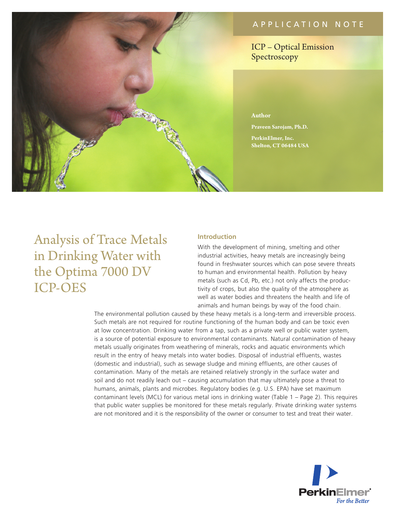# APPLICATION NOTE

ICP – Optical Emission Spectroscopy

#### **Author**

**Praveen Sarojam, Ph.D.**

**PerkinElmer, Inc. Shelton, CT 06484 USA**

# Analysis of Trace Metals in Drinking Water with the Optima 7000 DV ICP-OES

#### **Introduction**

With the development of mining, smelting and other industrial activities, heavy metals are increasingly being found in freshwater sources which can pose severe threats to human and environmental health. Pollution by heavy metals (such as Cd, Pb, etc.) not only affects the productivity of crops, but also the quality of the atmosphere as well as water bodies and threatens the health and life of animals and human beings by way of the food chain.

The environmental pollution caused by these heavy metals is a long-term and irreversible process. Such metals are not required for routine functioning of the human body and can be toxic even at low concentration. Drinking water from a tap, such as a private well or public water system, is a source of potential exposure to environmental contaminants. Natural contamination of heavy metals usually originates from weathering of minerals, rocks and aquatic environments which result in the entry of heavy metals into water bodies. Disposal of industrial effluents, wastes (domestic and industrial), such as sewage sludge and mining effluents, are other causes of contamination. Many of the metals are retained relatively strongly in the surface water and soil and do not readily leach out – causing accumulation that may ultimately pose a threat to humans, animals, plants and microbes. Regulatory bodies (e.g. U.S. EPA) have set maximum contaminant levels (MCL) for various metal ions in drinking water (Table 1 – Page 2). This requires that public water supplies be monitored for these metals regularly. Private drinking water systems are not monitored and it is the responsibility of the owner or consumer to test and treat their water.

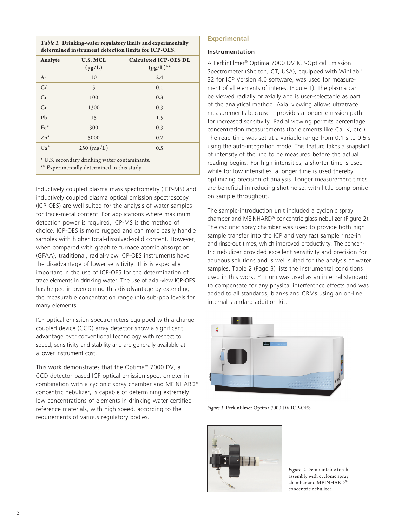*Table 1.* **Drinking-water regulatory limits and experimentally determined instrument detection limits for ICP-OES.** 

| Analyte        | <b>U.S. MCL</b><br>$(\mu g/L)$ | <b>Calculated ICP-OES DL</b><br>$(\mu g/L)^{**}$ |
|----------------|--------------------------------|--------------------------------------------------|
| As             | 10                             | 2.4                                              |
| C <sub>d</sub> | 5                              | 0.1                                              |
| Cr             | 100                            | 0.3                                              |
| Cu             | 1300                           | 0.3                                              |
| Pb             | 15                             | 1.5                                              |
| $Fe*$          | 300                            | 0.3                                              |
| $Zn^*$         | 5000                           | 0.2                                              |
| $Ca*$          | 250 (mg/L)                     | 0.5                                              |
|                |                                |                                                  |

<sup>\*</sup> U.S. secondary drinking water contaminants.

\*\* Experimentally determined in this study.

Inductively coupled plasma mass spectrometry (ICP-MS) and inductively coupled plasma optical emission spectroscopy (ICP-OES) are well suited for the analysis of water samples for trace-metal content. For applications where maximum detection power is required, ICP-MS is the method of choice. ICP-OES is more rugged and can more easily handle samples with higher total-dissolved-solid content. However, when compared with graphite furnace atomic absorption (GFAA), traditional, radial-view ICP-OES instruments have the disadvantage of lower sensitivity. This is especially important in the use of ICP-OES for the determination of trace elements in drinking water. The use of axial-view ICP-OES has helped in overcoming this disadvantage by extending the measurable concentration range into sub-ppb levels for many elements.

ICP optical emission spectrometers equipped with a chargecoupled device (CCD) array detector show a significant advantage over conventional technology with respect to speed, sensitivity and stability and are generally available at a lower instrument cost.

This work demonstrates that the Optima™ 7000 DV, a CCD detector-based ICP optical emission spectrometer in combination with a cyclonic spray chamber and MEINHARD® concentric nebulizer, is capable of determining extremely low concentrations of elements in drinking-water certified reference materials, with high speed, according to the requirements of various regulatory bodies.

#### **Experimental**

#### **Instrumentation**

A PerkinElmer® Optima 7000 DV ICP-Optical Emission Spectrometer (Shelton, CT, USA), equipped with WinLab™ 32 for ICP Version 4.0 software, was used for measurement of all elements of interest (Figure 1). The plasma can be viewed radially or axially and is user-selectable as part of the analytical method. Axial viewing allows ultratrace measurements because it provides a longer emission path for increased sensitivity. Radial viewing permits percentage concentration measurements (for elements like Ca, K, etc.). The read time was set at a variable range from 0.1 s to 0.5 s using the auto-integration mode. This feature takes a snapshot of intensity of the line to be measured before the actual reading begins. For high intensities, a shorter time is used – while for low intensities, a longer time is used thereby optimizing precision of analysis. Longer measurement times are beneficial in reducing shot noise, with little compromise on sample throughput.

The sample-introduction unit included a cyclonic spray chamber and MEINHARD® concentric glass nebulizer (Figure 2). The cyclonic spray chamber was used to provide both high sample transfer into the ICP and very fast sample rinse-in and rinse-out times, which improved productivity. The concentric nebulizer provided excellent sensitivity and precision for aqueous solutions and is well suited for the analysis of water samples. Table 2 (Page 3) lists the instrumental conditions used in this work. Yttrium was used as an internal standard to compensate for any physical interference effects and was added to all standards, blanks and CRMs using an on-line internal standard addition kit.



*Figure 1.* PerkinElmer Optima 7000 DV ICP-OES.



*Figure 2.* Demountable torch assembly with cyclonic spray chamber and MEINHARD® concentric nebulizer.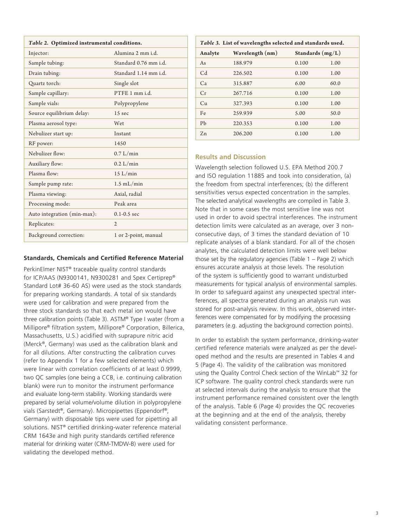| Table 2. Optimized instrumental conditions. |                       |  |
|---------------------------------------------|-----------------------|--|
| Injector:                                   | Alumina 2 mm i.d.     |  |
| Sample tubing:                              | Standard 0.76 mm i.d. |  |
| Drain tubing:                               | Standard 1.14 mm i.d. |  |
| Quartz torch:                               | Single slot           |  |
| Sample capillary:                           | PTFE 1 mm i.d.        |  |
| Sample vials:                               | Polypropylene         |  |
| Source equilibrium delay:                   | 15 sec                |  |
| Plasma aerosol type:                        | Wet                   |  |
| Nebulizer start up:                         | Instant               |  |
| RF power:                                   | 1450                  |  |
| Nebulizer flow:                             | 0.7 L/min             |  |
| Auxiliary flow:                             | $0.2$ L/min           |  |
| Plasma flow:                                | 15 L/min              |  |
| Sample pump rate:                           | $1.5$ mL/min          |  |
| Plasma viewing:                             | Axial, radial         |  |
| Processing mode:                            | Peak area             |  |
| Auto integration (min-max):                 | $0.1 - 0.5$ sec       |  |
| Replicates:                                 | $\mathfrak{2}$        |  |
| Background correction:                      | 1 or 2-point, manual  |  |

#### **Standards, Chemicals and Certified Reference Material**

PerkinElmer NIST® traceable quality control standards for ICP/AAS (N9300141, N9300281 and Spex Certiprep® Standard Lot# 36-60 AS) were used as the stock standards for preparing working standards. A total of six standards were used for calibration and were prepared from the three stock standards so that each metal ion would have three calibration points (Table 3). ASTM® Type I water (from a Millipore® filtration system, Millipore® Corporation, Billerica, Massachusetts, U.S.) acidified with suprapure nitric acid (Merck®, Germany) was used as the calibration blank and for all dilutions. After constructing the calibration curves (refer to Appendix 1 for a few selected elements) which were linear with correlation coefficients of at least 0.9999, two QC samples (one being a CCB, i.e. continuing calibration blank) were run to monitor the instrument performance and evaluate long-term stability. Working standards were prepared by serial volume/volume dilution in polypropylene vials (Sarstedt®, Germany). Micropipettes (Eppendorf®, Germany) with disposable tips were used for pipetting all solutions. NIST® certified drinking-water reference material CRM 1643e and high purity standards certified reference material for drinking water (CRM-TMDW-B) were used for validating the developed method.

| Table 3. List of wavelengths selected and standards used. |                 |                    |      |
|-----------------------------------------------------------|-----------------|--------------------|------|
| Analyte                                                   | Wavelength (nm) | Standards $(mg/L)$ |      |
| As                                                        | 188.979         | 0.100              | 1.00 |
| C <sub>d</sub>                                            | 226.502         | 0.100              | 1.00 |
| Ca                                                        | 315.887         | 6.00               | 60.0 |
| Cr                                                        | 267.716         | 0.100              | 1.00 |
| Cu                                                        | 327.393         | 0.100              | 1.00 |
| Fe                                                        | 259.939         | 5.00               | 50.0 |
| Pb                                                        | 220.353         | 0.100              | 1.00 |
| $Z_{n}$                                                   | 206.200         | 0.100              | 1.00 |

### **Results and Discussion**

Wavelength selection followed U.S. EPA Method 200.7 and ISO regulation 11885 and took into consideration, (a) the freedom from spectral interferences; (b) the different sensitivities versus expected concentration in the samples. The selected analytical wavelengths are compiled in Table 3. Note that in some cases the most sensitive line was not used in order to avoid spectral interferences. The instrument detection limits were calculated as an average, over 3 nonconsecutive days, of 3 times the standard deviation of 10 replicate analyses of a blank standard. For all of the chosen analytes, the calculated detection limits were well below those set by the regulatory agencies (Table  $1 - Page 2$ ) which ensures accurate analysis at those levels. The resolution of the system is sufficiently good to warrant undisturbed measurements for typical analysis of environmental samples. In order to safeguard against any unexpected spectral interferences, all spectra generated during an analysis run was stored for post-analysis review. In this work, observed interferences were compensated for by modifying the processing parameters (e.g. adjusting the background correction points).

In order to establish the system performance, drinking-water certified reference materials were analyzed as per the developed method and the results are presented in Tables 4 and 5 (Page 4). The validity of the calibration was monitored using the Quality Control Check section of the WinLab™ 32 for ICP software. The quality control check standards were run at selected intervals during the analysis to ensure that the instrument performance remained consistent over the length of the analysis. Table 6 (Page 4) provides the QC recoveries at the beginning and at the end of the analysis, thereby validating consistent performance.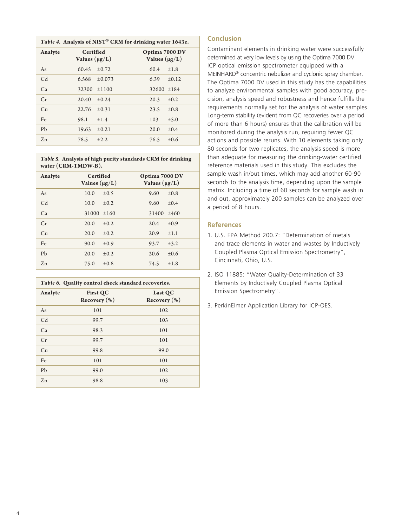| Table 4. Analysis of NIST <sup>®</sup> CRM for drinking water 1643e. |                                 |            |                                      |           |
|----------------------------------------------------------------------|---------------------------------|------------|--------------------------------------|-----------|
| Analyte                                                              | Certified<br>Values $(\mu g/L)$ |            | Optima 7000 DV<br>Values $(\mu g/L)$ |           |
| As                                                                   | 60.45                           | ±0.72      | 60.4                                 | $\pm 1.8$ |
| C <sub>d</sub>                                                       | 6.568                           | ±0.073     | 6.39                                 | ±0.12     |
| Ca                                                                   | 32300                           | ±1100      | $32600 \pm 184$                      |           |
| Cr                                                                   | 20.40                           | ±0.24      | 20.3                                 | $\pm 0.2$ |
| Cu                                                                   | 22.76                           | ±0.31      | 23.5                                 | $\pm 0.8$ |
| Fe                                                                   | 98.1                            | ±1.4       | 103                                  | ±5.0      |
| Ph                                                                   | 19.63                           | $\pm 0.21$ | 20.0                                 | $\pm 0.4$ |
| $Z_{n}$                                                              | 78.5                            | $\pm 2.2$  | 76.5                                 | $\pm 0.6$ |

*Table 5.* **Analysis of high purity standards CRM for drinking water (CRM-TMDW-B).**

| Analyte        | Certified<br>Values $(\mu g/L)$ | Optima 7000 DV<br>Values $(\mu g/L)$ |
|----------------|---------------------------------|--------------------------------------|
| As             | 10.0<br>$\pm 0.5$               | 9.60<br>$\pm 0.8$                    |
| C <sub>d</sub> | 10.0<br>$\pm 0.2$               | 9.60<br>$\pm 0.4$                    |
| Ca             | 31000<br>±160                   | 31400<br>±460                        |
| Cr             | $\pm 0.2$<br>20.0               | $\pm 0.9$<br>20.4                    |
| Cu             | 20.0<br>$\pm 0.2$               | 20.9<br>±1.1                         |
| Fe             | $\pm 0.9$<br>90.0               | $\pm$ 3.2<br>93.7                    |
| Pb             | 20.0<br>$\pm 0.2$               | $\pm 0.6$<br>20.6                    |
| $Z_{n}$        | $\pm 0.8$<br>75.0               | 74.5<br>$\pm 1.8$                    |

| Table 6. Quality control check standard recoveries. |                                     |                             |
|-----------------------------------------------------|-------------------------------------|-----------------------------|
| Analyte                                             | <b>First QC</b><br>Recovery $(\% )$ | Last QC<br>Recovery $(\% )$ |
| As                                                  | 101                                 | 102                         |
| C <sub>d</sub>                                      | 99.7                                | 103                         |
| Ca                                                  | 98.3                                | 101                         |
| Cr                                                  | 99.7                                | 101                         |
| Cu                                                  | 99.8                                | 99.0                        |
| Fe                                                  | 101                                 | 101                         |
| Pb                                                  | 99.0                                | 102                         |
| $Z_{n}$                                             | 98.8                                | 103                         |

# **Conclusion**

Contaminant elements in drinking water were successfully determined at very low levels by using the Optima 7000 DV ICP optical emission spectrometer equipped with a MEINHARD® concentric nebulizer and cyclonic spray chamber. The Optima 7000 DV used in this study has the capabilities to analyze environmental samples with good accuracy, precision, analysis speed and robustness and hence fulfills the requirements normally set for the analysis of water samples. Long-term stability (evident from QC recoveries over a period of more than 6 hours) ensures that the calibration will be monitored during the analysis run, requiring fewer QC actions and possible reruns. With 10 elements taking only 80 seconds for two replicates, the analysis speed is more than adequate for measuring the drinking-water certified reference materials used in this study. This excludes the sample wash in/out times, which may add another 60-90 seconds to the analysis time, depending upon the sample matrix. Including a time of 60 seconds for sample wash in and out, approximately 200 samples can be analyzed over a period of 8 hours.

# **References**

- 1. U.S. EPA Method 200.7: "Determination of metals and trace elements in water and wastes by Inductively Coupled Plasma Optical Emission Spectrometry", Cincinnati, Ohio, U.S.
- 2. ISO 11885: "Water Quality-Determination of 33 Elements by Inductively Coupled Plasma Optical Emission Spectrometry".
- 3. PerkinElmer Application Library for ICP-OES.